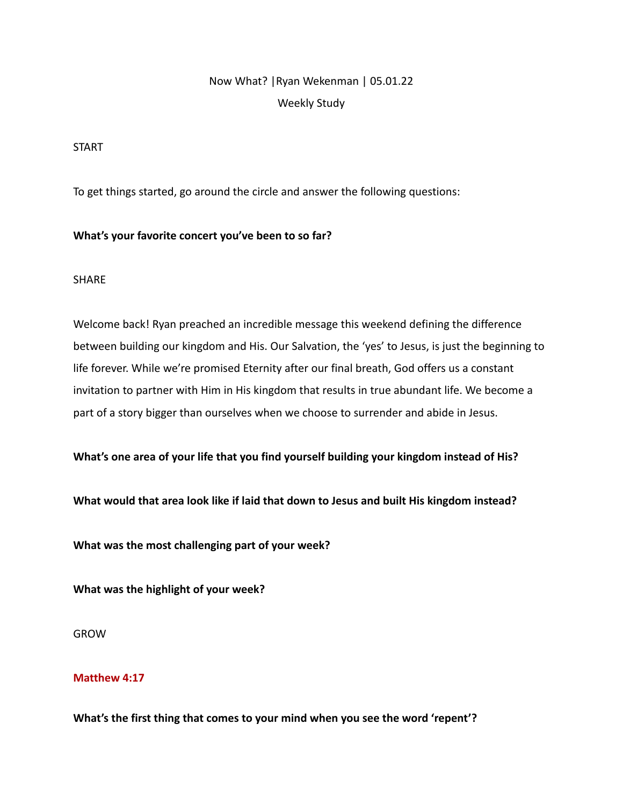# Now What? |Ryan Wekenman | 05.01.22 Weekly Study

### START

To get things started, go around the circle and answer the following questions:

### **What's your favorite concert you've been to so far?**

### **SHARE**

Welcome back! Ryan preached an incredible message this weekend defining the difference between building our kingdom and His. Our Salvation, the 'yes' to Jesus, is just the beginning to life forever. While we're promised Eternity after our final breath, God offers us a constant invitation to partner with Him in His kingdom that results in true abundant life. We become a part of a story bigger than ourselves when we choose to surrender and abide in Jesus.

### **What's one area of your life that you find yourself building your kingdom instead of His?**

**What would that area look like if laid that down to Jesus and built His kingdom instead?**

**What was the most challenging part of your week?**

**What was the highlight of your week?**

GROW

### **Matthew 4:17**

**What's the first thing that comes to your mind when you see the word 'repent'?**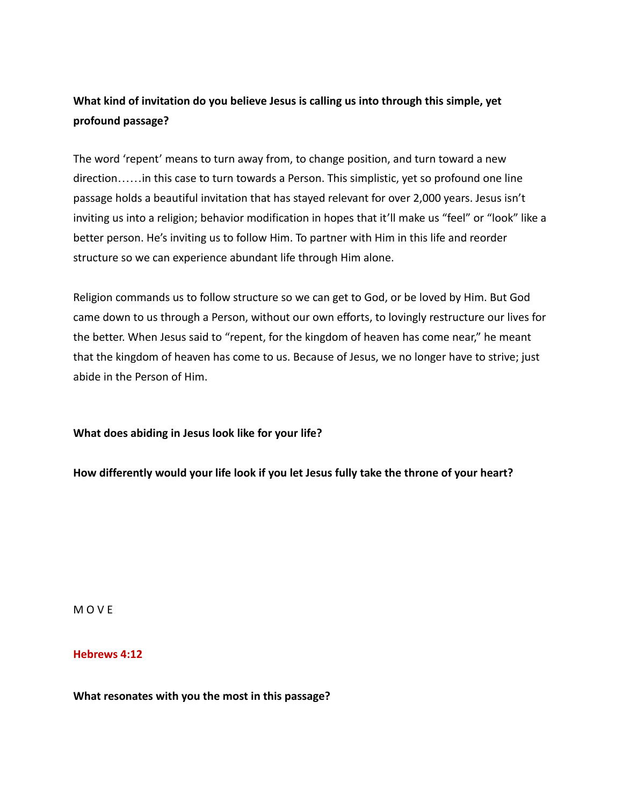## **What kind of invitation do you believe Jesus is calling us into through this simple, yet profound passage?**

The word 'repent' means to turn away from, to change position, and turn toward a new direction……in this case to turn towards a Person. This simplistic, yet so profound one line passage holds a beautiful invitation that has stayed relevant for over 2,000 years. Jesus isn't inviting us into a religion; behavior modification in hopes that it'll make us "feel" or "look" like a better person. He's inviting us to follow Him. To partner with Him in this life and reorder structure so we can experience abundant life through Him alone.

Religion commands us to follow structure so we can get to God, or be loved by Him. But God came down to us through a Person, without our own efforts, to lovingly restructure our lives for the better. When Jesus said to "repent, for the kingdom of heaven has come near," he meant that the kingdom of heaven has come to us. Because of Jesus, we no longer have to strive; just abide in the Person of Him.

**What does abiding in Jesus look like for your life?**

**How differently would your life look if you let Jesus fully take the throne of your heart?**

M O V E

### **Hebrews 4:12**

**What resonates with you the most in this passage?**